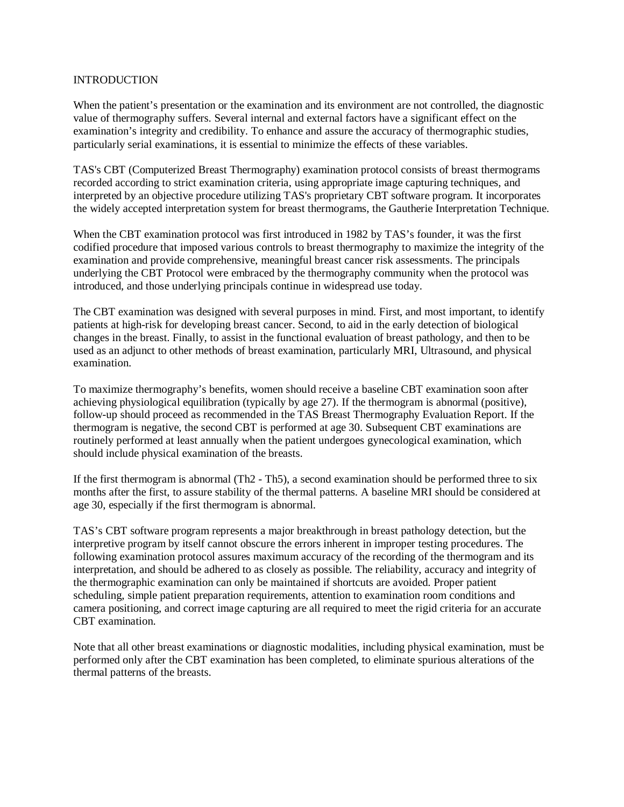# **INTRODUCTION**

When the patient's presentation or the examination and its environment are not controlled, the diagnostic value of thermography suffers. Several internal and external factors have a significant effect on the examination's integrity and credibility. To enhance and assure the accuracy of thermographic studies, particularly serial examinations, it is essential to minimize the effects of these variables.

TAS's CBT (Computerized Breast Thermography) examination protocol consists of breast thermograms recorded according to strict examination criteria, using appropriate image capturing techniques, and interpreted by an objective procedure utilizing TAS's proprietary CBT software program. It incorporates the widely accepted interpretation system for breast thermograms, the Gautherie Interpretation Technique.

When the CBT examination protocol was first introduced in 1982 by TAS's founder, it was the first codified procedure that imposed various controls to breast thermography to maximize the integrity of the examination and provide comprehensive, meaningful breast cancer risk assessments. The principals underlying the CBT Protocol were embraced by the thermography community when the protocol was introduced, and those underlying principals continue in widespread use today.

The CBT examination was designed with several purposes in mind. First, and most important, to identify patients at high-risk for developing breast cancer. Second, to aid in the early detection of biological changes in the breast. Finally, to assist in the functional evaluation of breast pathology, and then to be used as an adjunct to other methods of breast examination, particularly MRI, Ultrasound, and physical examination.

To maximize thermography's benefits, women should receive a baseline CBT examination soon after achieving physiological equilibration (typically by age 27). If the thermogram is abnormal (positive), follow-up should proceed as recommended in the TAS Breast Thermography Evaluation Report. If the thermogram is negative, the second CBT is performed at age 30. Subsequent CBT examinations are routinely performed at least annually when the patient undergoes gynecological examination, which should include physical examination of the breasts.

If the first thermogram is abnormal (Th2 - Th5), a second examination should be performed three to six months after the first, to assure stability of the thermal patterns. A baseline MRI should be considered at age 30, especially if the first thermogram is abnormal.

TAS's CBT software program represents a major breakthrough in breast pathology detection, but the interpretive program by itself cannot obscure the errors inherent in improper testing procedures. The following examination protocol assures maximum accuracy of the recording of the thermogram and its interpretation, and should be adhered to as closely as possible. The reliability, accuracy and integrity of the thermographic examination can only be maintained if shortcuts are avoided. Proper patient scheduling, simple patient preparation requirements, attention to examination room conditions and camera positioning, and correct image capturing are all required to meet the rigid criteria for an accurate CBT examination.

Note that all other breast examinations or diagnostic modalities, including physical examination, must be performed only after the CBT examination has been completed, to eliminate spurious alterations of the thermal patterns of the breasts.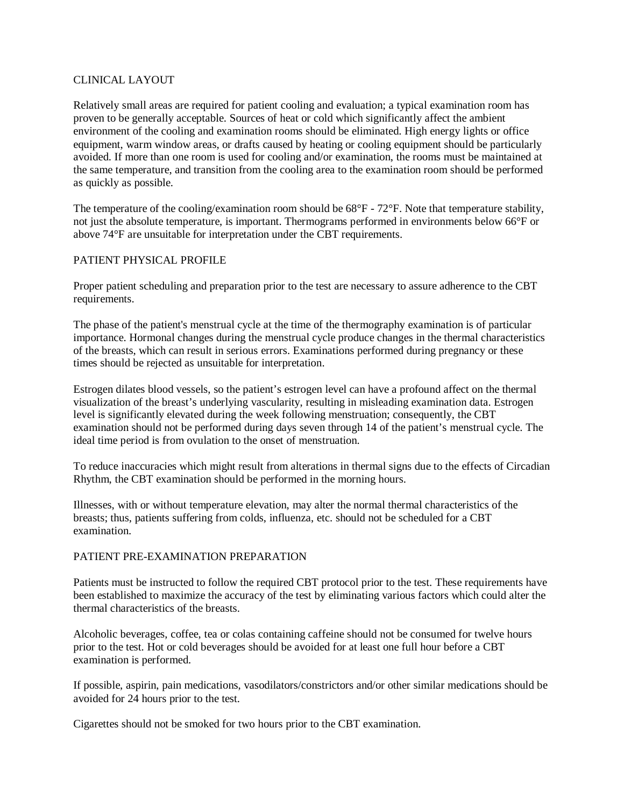# CLINICAL LAYOUT

Relatively small areas are required for patient cooling and evaluation; a typical examination room has proven to be generally acceptable. Sources of heat or cold which significantly affect the ambient environment of the cooling and examination rooms should be eliminated. High energy lights or office equipment, warm window areas, or drafts caused by heating or cooling equipment should be particularly avoided. If more than one room is used for cooling and/or examination, the rooms must be maintained at the same temperature, and transition from the cooling area to the examination room should be performed as quickly as possible.

The temperature of the cooling/examination room should be 68°F - 72°F. Note that temperature stability, not just the absolute temperature, is important. Thermograms performed in environments below 66°F or above 74°F are unsuitable for interpretation under the CBT requirements.

# PATIENT PHYSICAL PROFILE

Proper patient scheduling and preparation prior to the test are necessary to assure adherence to the CBT requirements.

The phase of the patient's menstrual cycle at the time of the thermography examination is of particular importance. Hormonal changes during the menstrual cycle produce changes in the thermal characteristics of the breasts, which can result in serious errors. Examinations performed during pregnancy or these times should be rejected as unsuitable for interpretation.

Estrogen dilates blood vessels, so the patient's estrogen level can have a profound affect on the thermal visualization of the breast's underlying vascularity, resulting in misleading examination data. Estrogen level is significantly elevated during the week following menstruation; consequently, the CBT examination should not be performed during days seven through 14 of the patient's menstrual cycle. The ideal time period is from ovulation to the onset of menstruation.

To reduce inaccuracies which might result from alterations in thermal signs due to the effects of Circadian Rhythm, the CBT examination should be performed in the morning hours.

Illnesses, with or without temperature elevation, may alter the normal thermal characteristics of the breasts; thus, patients suffering from colds, influenza, etc. should not be scheduled for a CBT examination.

#### PATIENT PRE-EXAMINATION PREPARATION

Patients must be instructed to follow the required CBT protocol prior to the test. These requirements have been established to maximize the accuracy of the test by eliminating various factors which could alter the thermal characteristics of the breasts.

Alcoholic beverages, coffee, tea or colas containing caffeine should not be consumed for twelve hours prior to the test. Hot or cold beverages should be avoided for at least one full hour before a CBT examination is performed.

If possible, aspirin, pain medications, vasodilators/constrictors and/or other similar medications should be avoided for 24 hours prior to the test.

Cigarettes should not be smoked for two hours prior to the CBT examination.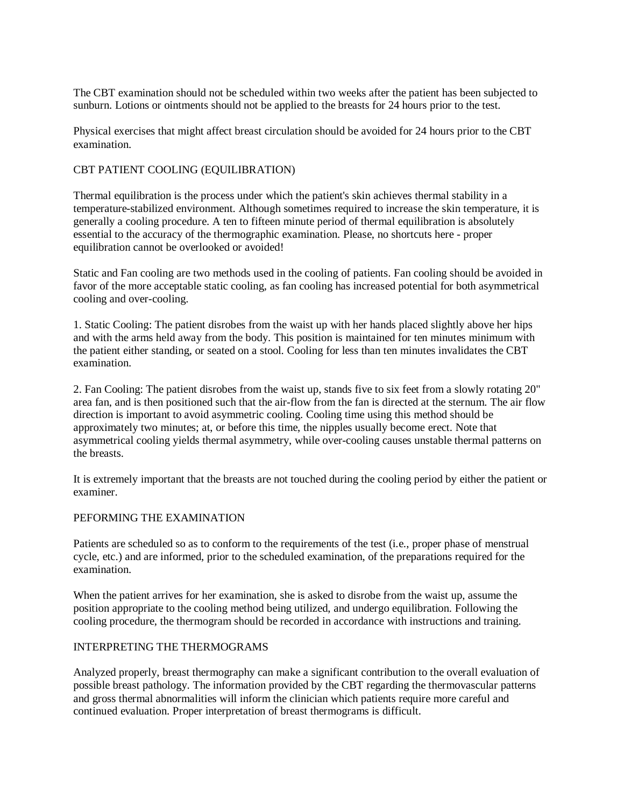The CBT examination should not be scheduled within two weeks after the patient has been subjected to sunburn. Lotions or ointments should not be applied to the breasts for 24 hours prior to the test.

Physical exercises that might affect breast circulation should be avoided for 24 hours prior to the CBT examination.

## CBT PATIENT COOLING (EQUILIBRATION)

Thermal equilibration is the process under which the patient's skin achieves thermal stability in a temperature-stabilized environment. Although sometimes required to increase the skin temperature, it is generally a cooling procedure. A ten to fifteen minute period of thermal equilibration is absolutely essential to the accuracy of the thermographic examination. Please, no shortcuts here - proper equilibration cannot be overlooked or avoided!

Static and Fan cooling are two methods used in the cooling of patients. Fan cooling should be avoided in favor of the more acceptable static cooling, as fan cooling has increased potential for both asymmetrical cooling and over-cooling.

1. Static Cooling: The patient disrobes from the waist up with her hands placed slightly above her hips and with the arms held away from the body. This position is maintained for ten minutes minimum with the patient either standing, or seated on a stool. Cooling for less than ten minutes invalidates the CBT examination.

2. Fan Cooling: The patient disrobes from the waist up, stands five to six feet from a slowly rotating 20" area fan, and is then positioned such that the air-flow from the fan is directed at the sternum. The air flow direction is important to avoid asymmetric cooling. Cooling time using this method should be approximately two minutes; at, or before this time, the nipples usually become erect. Note that asymmetrical cooling yields thermal asymmetry, while over-cooling causes unstable thermal patterns on the breasts.

It is extremely important that the breasts are not touched during the cooling period by either the patient or examiner.

#### PEFORMING THE EXAMINATION

Patients are scheduled so as to conform to the requirements of the test (i.e., proper phase of menstrual cycle, etc.) and are informed, prior to the scheduled examination, of the preparations required for the examination.

When the patient arrives for her examination, she is asked to disrobe from the waist up, assume the position appropriate to the cooling method being utilized, and undergo equilibration. Following the cooling procedure, the thermogram should be recorded in accordance with instructions and training.

### INTERPRETING THE THERMOGRAMS

Analyzed properly, breast thermography can make a significant contribution to the overall evaluation of possible breast pathology. The information provided by the CBT regarding the thermovascular patterns and gross thermal abnormalities will inform the clinician which patients require more careful and continued evaluation. Proper interpretation of breast thermograms is difficult.